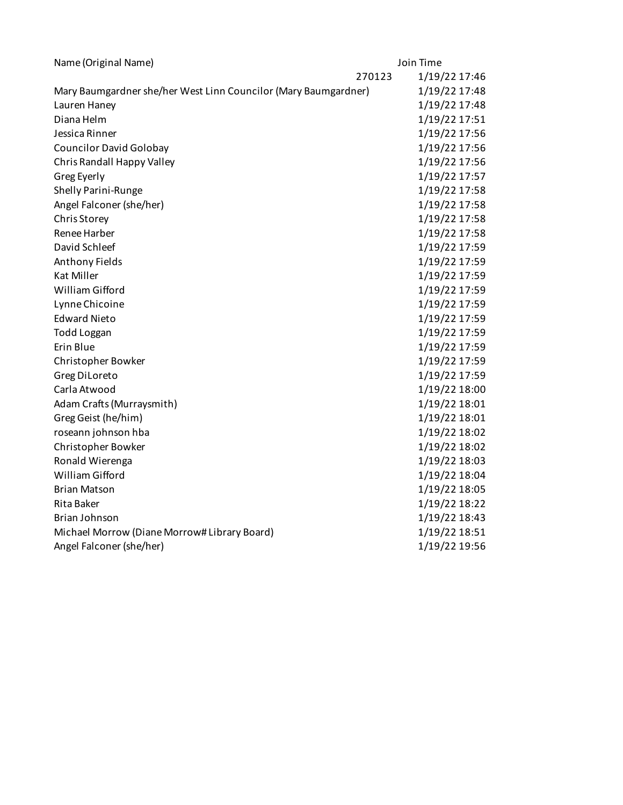| Name (Original Name)                                            | Join Time |               |
|-----------------------------------------------------------------|-----------|---------------|
|                                                                 | 270123    | 1/19/22 17:46 |
| Mary Baumgardner she/her West Linn Councilor (Mary Baumgardner) |           | 1/19/22 17:48 |
| Lauren Haney                                                    |           | 1/19/22 17:48 |
| Diana Helm                                                      |           | 1/19/22 17:51 |
| Jessica Rinner                                                  |           | 1/19/22 17:56 |
| <b>Councilor David Golobay</b>                                  |           | 1/19/22 17:56 |
| Chris Randall Happy Valley                                      |           | 1/19/22 17:56 |
| Greg Eyerly                                                     |           | 1/19/22 17:57 |
| Shelly Parini-Runge                                             |           | 1/19/22 17:58 |
| Angel Falconer (she/her)                                        |           | 1/19/22 17:58 |
| Chris Storey                                                    |           | 1/19/22 17:58 |
| Renee Harber                                                    |           | 1/19/22 17:58 |
| David Schleef                                                   |           | 1/19/22 17:59 |
| Anthony Fields                                                  |           | 1/19/22 17:59 |
| <b>Kat Miller</b>                                               |           | 1/19/22 17:59 |
| William Gifford                                                 |           | 1/19/22 17:59 |
| Lynne Chicoine                                                  |           | 1/19/22 17:59 |
| <b>Edward Nieto</b>                                             |           | 1/19/22 17:59 |
| <b>Todd Loggan</b>                                              |           | 1/19/22 17:59 |
| Erin Blue                                                       |           | 1/19/22 17:59 |
| Christopher Bowker                                              |           | 1/19/22 17:59 |
| Greg DiLoreto                                                   |           | 1/19/22 17:59 |
| Carla Atwood                                                    |           | 1/19/22 18:00 |
| Adam Crafts (Murraysmith)                                       |           | 1/19/22 18:01 |
| Greg Geist (he/him)                                             |           | 1/19/22 18:01 |
| roseann johnson hba                                             |           | 1/19/22 18:02 |
| Christopher Bowker                                              |           | 1/19/22 18:02 |
| Ronald Wierenga                                                 |           | 1/19/22 18:03 |
| William Gifford                                                 |           | 1/19/22 18:04 |
| <b>Brian Matson</b>                                             |           | 1/19/22 18:05 |
| Rita Baker                                                      |           | 1/19/22 18:22 |
| Brian Johnson                                                   |           | 1/19/22 18:43 |
| Michael Morrow (Diane Morrow# Library Board)                    |           | 1/19/22 18:51 |
| Angel Falconer (she/her)                                        |           | 1/19/22 19:56 |